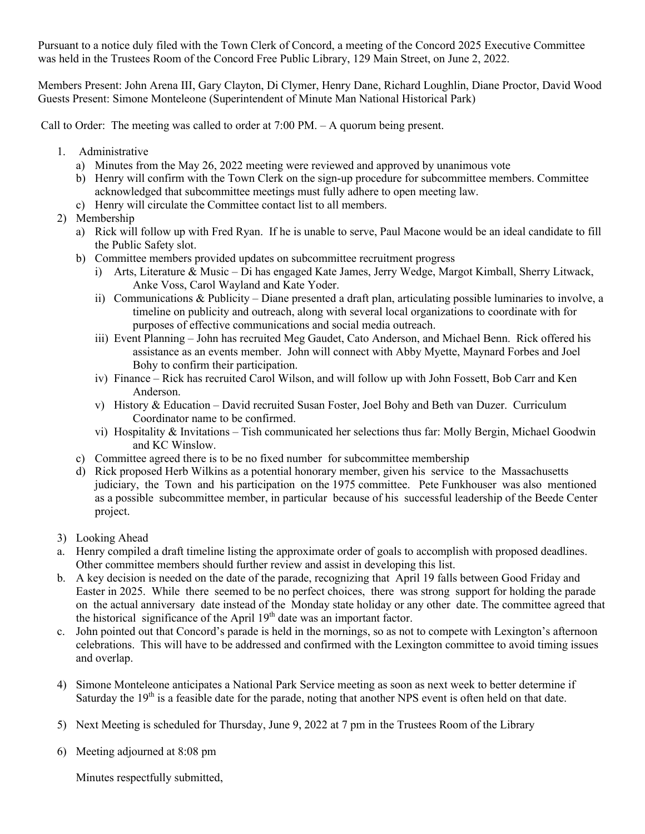Pursuant to a notice duly filed with the Town Clerk of Concord, a meeting of the Concord 2025 Executive Committee was held in the Trustees Room of the Concord Free Public Library, 129 Main Street, on June 2, 2022.

Members Present: John Arena III, Gary Clayton, Di Clymer, Henry Dane, Richard Loughlin, Diane Proctor, David Wood Guests Present: Simone Monteleone (Superintendent of Minute Man National Historical Park)

Call to Order: The meeting was called to order at 7:00 PM. – A quorum being present.

- 1. Administrative
	- a) Minutes from the May 26, 2022 meeting were reviewed and approved by unanimous vote
	- b) Henry will confirm with the Town Clerk on the sign-up procedure for subcommittee members. Committee acknowledged that subcommittee meetings must fully adhere to open meeting law.
	- c) Henry will circulate the Committee contact list to all members.
- 2) Membership
	- a) Rick will follow up with Fred Ryan. If he is unable to serve, Paul Macone would be an ideal candidate to fill the Public Safety slot.
	- b) Committee members provided updates on subcommittee recruitment progress
		- i) Arts, Literature & Music Di has engaged Kate James, Jerry Wedge, Margot Kimball, Sherry Litwack, Anke Voss, Carol Wayland and Kate Yoder.
		- ii) Communications & Publicity Diane presented a draft plan, articulating possible luminaries to involve, a timeline on publicity and outreach, along with several local organizations to coordinate with for purposes of effective communications and social media outreach.
		- iii) Event Planning John has recruited Meg Gaudet, Cato Anderson, and Michael Benn. Rick offered his assistance as an events member. John will connect with Abby Myette, Maynard Forbes and Joel Bohy to confirm their participation.
		- iv) Finance Rick has recruited Carol Wilson, and will follow up with John Fossett, Bob Carr and Ken Anderson.
		- v) History & Education David recruited Susan Foster, Joel Bohy and Beth van Duzer. Curriculum Coordinator name to be confirmed.
		- vi) Hospitality & Invitations Tish communicated her selections thus far: Molly Bergin, Michael Goodwin and KC Winslow.
	- c) Committee agreed there is to be no fixed number for subcommittee membership
	- d) Rick proposed Herb Wilkins as a potential honorary member, given his service to the Massachusetts judiciary, the Town and his participation on the 1975 committee. Pete Funkhouser was also mentioned as a possible subcommittee member, in particular because of his successful leadership of the Beede Center project.
- 3) Looking Ahead
- a. Henry compiled a draft timeline listing the approximate order of goals to accomplish with proposed deadlines. Other committee members should further review and assist in developing this list.
- b. A key decision is needed on the date of the parade, recognizing that April 19 falls between Good Friday and Easter in 2025. While there seemed to be no perfect choices, there was strong support for holding the parade on the actual anniversary date instead of the Monday state holiday or any other date. The committee agreed that the historical significance of the April  $19<sup>th</sup>$  date was an important factor.
- c. John pointed out that Concord's parade is held in the mornings, so as not to compete with Lexington's afternoon celebrations. This will have to be addressed and confirmed with the Lexington committee to avoid timing issues and overlap.
- 4) Simone Monteleone anticipates a National Park Service meeting as soon as next week to better determine if Saturday the  $19<sup>th</sup>$  is a feasible date for the parade, noting that another NPS event is often held on that date.
- 5) Next Meeting is scheduled for Thursday, June 9, 2022 at 7 pm in the Trustees Room of the Library
- 6) Meeting adjourned at 8:08 pm

Minutes respectfully submitted,